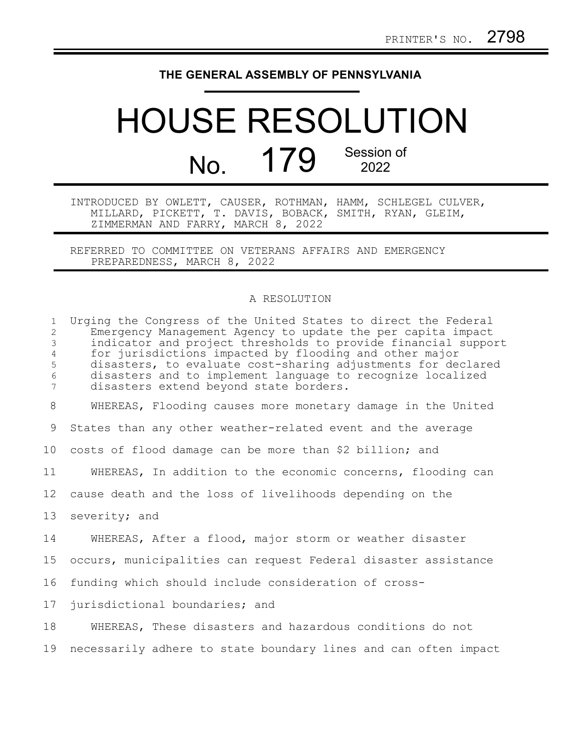## **THE GENERAL ASSEMBLY OF PENNSYLVANIA**

## HOUSE RESOLUTION No. 179 Session of

INTRODUCED BY OWLETT, CAUSER, ROTHMAN, HAMM, SCHLEGEL CULVER, MILLARD, PICKETT, T. DAVIS, BOBACK, SMITH, RYAN, GLEIM, ZIMMERMAN AND FARRY, MARCH 8, 2022

REFERRED TO COMMITTEE ON VETERANS AFFAIRS AND EMERGENCY PREPAREDNESS, MARCH 8, 2022

## A RESOLUTION

| $\mathbf{1}$<br>$\mathbf{2}^{\prime}$<br>$\mathfrak{Z}$<br>$\overline{4}$<br>5<br>6<br>$7\phantom{.}$ | Urging the Congress of the United States to direct the Federal<br>Emergency Management Agency to update the per capita impact<br>indicator and project thresholds to provide financial support<br>for jurisdictions impacted by flooding and other major<br>disasters, to evaluate cost-sharing adjustments for declared<br>disasters and to implement language to recognize localized<br>disasters extend beyond state borders. |
|-------------------------------------------------------------------------------------------------------|----------------------------------------------------------------------------------------------------------------------------------------------------------------------------------------------------------------------------------------------------------------------------------------------------------------------------------------------------------------------------------------------------------------------------------|
| 8                                                                                                     | WHEREAS, Flooding causes more monetary damage in the United                                                                                                                                                                                                                                                                                                                                                                      |
| 9                                                                                                     | States than any other weather-related event and the average                                                                                                                                                                                                                                                                                                                                                                      |
| 10 <sub>o</sub>                                                                                       | costs of flood damage can be more than \$2 billion; and                                                                                                                                                                                                                                                                                                                                                                          |
| 11                                                                                                    | WHEREAS, In addition to the economic concerns, flooding can                                                                                                                                                                                                                                                                                                                                                                      |
| 12 <sup>°</sup>                                                                                       | cause death and the loss of livelihoods depending on the                                                                                                                                                                                                                                                                                                                                                                         |
| 13                                                                                                    | severity; and                                                                                                                                                                                                                                                                                                                                                                                                                    |
| 14                                                                                                    | WHEREAS, After a flood, major storm or weather disaster                                                                                                                                                                                                                                                                                                                                                                          |
| 15                                                                                                    | occurs, municipalities can request Federal disaster assistance                                                                                                                                                                                                                                                                                                                                                                   |
| 16                                                                                                    | funding which should include consideration of cross-                                                                                                                                                                                                                                                                                                                                                                             |
| 17                                                                                                    | jurisdictional boundaries; and                                                                                                                                                                                                                                                                                                                                                                                                   |
| 18                                                                                                    | WHEREAS, These disasters and hazardous conditions do not                                                                                                                                                                                                                                                                                                                                                                         |
| 19                                                                                                    | necessarily adhere to state boundary lines and can often impact                                                                                                                                                                                                                                                                                                                                                                  |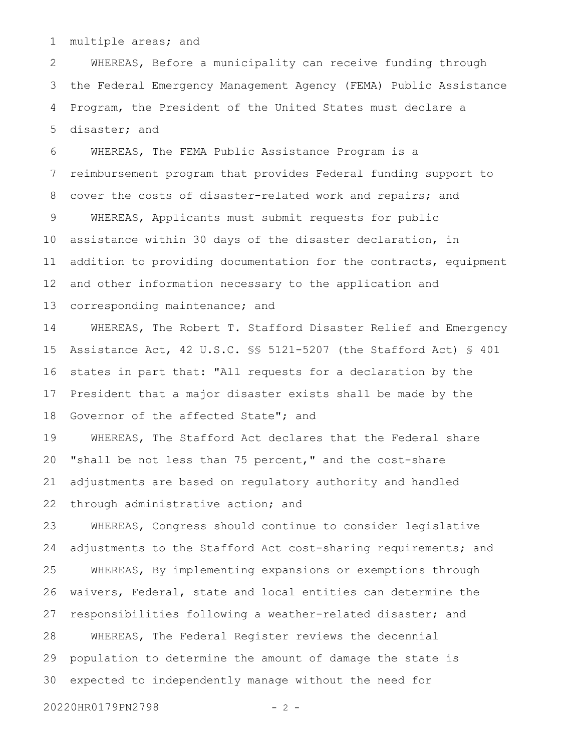multiple areas; and 1

WHEREAS, Before a municipality can receive funding through the Federal Emergency Management Agency (FEMA) Public Assistance Program, the President of the United States must declare a disaster; and 2 3 4 5

WHEREAS, The FEMA Public Assistance Program is a reimbursement program that provides Federal funding support to cover the costs of disaster-related work and repairs; and WHEREAS, Applicants must submit requests for public assistance within 30 days of the disaster declaration, in addition to providing documentation for the contracts, equipment and other information necessary to the application and corresponding maintenance; and 6 7 8 9 10 11 12 13

WHEREAS, The Robert T. Stafford Disaster Relief and Emergency Assistance Act, 42 U.S.C. §§ 5121-5207 (the Stafford Act) § 401 states in part that: "All requests for a declaration by the President that a major disaster exists shall be made by the Governor of the affected State"; and 14 15 16 17 18

WHEREAS, The Stafford Act declares that the Federal share "shall be not less than 75 percent," and the cost-share adjustments are based on regulatory authority and handled through administrative action; and 19 20 21 22

WHEREAS, Congress should continue to consider legislative adjustments to the Stafford Act cost-sharing requirements; and WHEREAS, By implementing expansions or exemptions through waivers, Federal, state and local entities can determine the responsibilities following a weather-related disaster; and WHEREAS, The Federal Register reviews the decennial population to determine the amount of damage the state is expected to independently manage without the need for 23 24 25 26 27 28 29 30

20220HR0179PN2798 - 2 -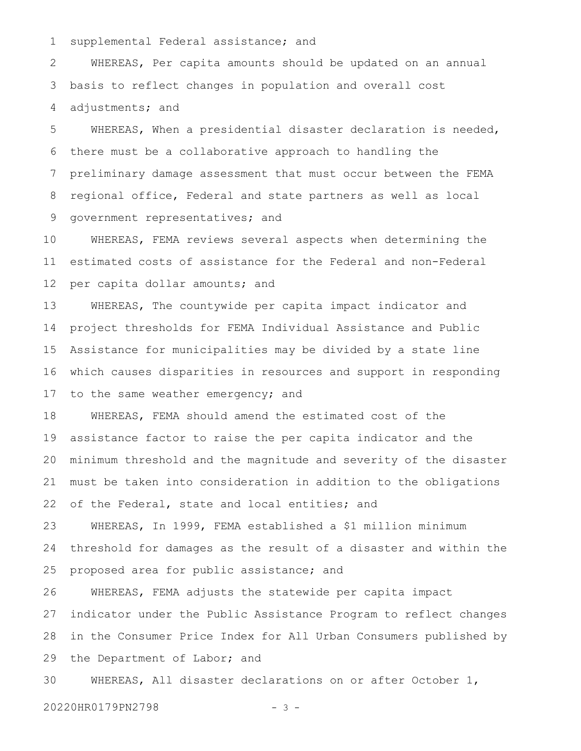supplemental Federal assistance; and 1

WHEREAS, Per capita amounts should be updated on an annual basis to reflect changes in population and overall cost adjustments; and 2 3 4

WHEREAS, When a presidential disaster declaration is needed, there must be a collaborative approach to handling the preliminary damage assessment that must occur between the FEMA regional office, Federal and state partners as well as local government representatives; and 5 6 7 8 9

WHEREAS, FEMA reviews several aspects when determining the estimated costs of assistance for the Federal and non-Federal per capita dollar amounts; and 10 11 12

WHEREAS, The countywide per capita impact indicator and project thresholds for FEMA Individual Assistance and Public Assistance for municipalities may be divided by a state line which causes disparities in resources and support in responding to the same weather emergency; and 13 14 15 16 17

WHEREAS, FEMA should amend the estimated cost of the assistance factor to raise the per capita indicator and the minimum threshold and the magnitude and severity of the disaster must be taken into consideration in addition to the obligations of the Federal, state and local entities; and 18 19 20 21 22

WHEREAS, In 1999, FEMA established a \$1 million minimum threshold for damages as the result of a disaster and within the proposed area for public assistance; and 23 24 25

WHEREAS, FEMA adjusts the statewide per capita impact indicator under the Public Assistance Program to reflect changes in the Consumer Price Index for All Urban Consumers published by the Department of Labor; and 26 27 28 29

WHEREAS, All disaster declarations on or after October 1, 30

20220HR0179PN2798 - 3 -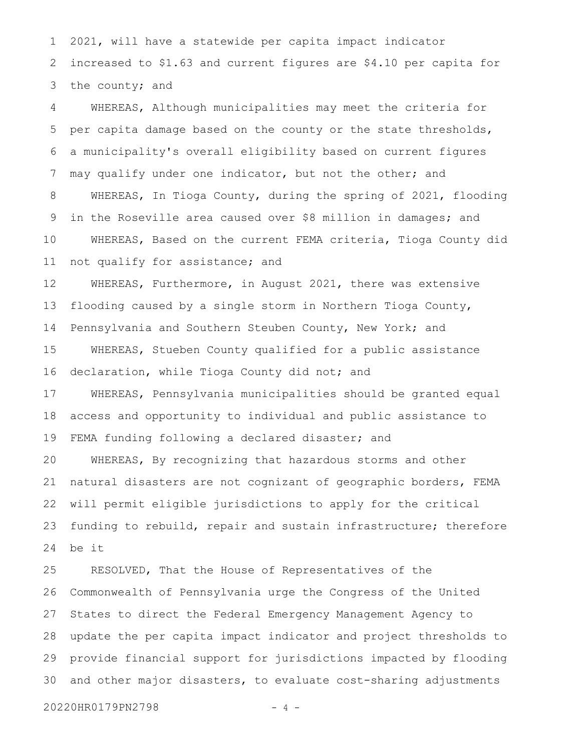2021, will have a statewide per capita impact indicator increased to \$1.63 and current figures are \$4.10 per capita for the county; and 1 2 3

WHEREAS, Although municipalities may meet the criteria for per capita damage based on the county or the state thresholds, a municipality's overall eligibility based on current figures may qualify under one indicator, but not the other; and WHEREAS, In Tioga County, during the spring of 2021, flooding in the Roseville area caused over \$8 million in damages; and WHEREAS, Based on the current FEMA criteria, Tioga County did not qualify for assistance; and 4 5 6 7 8 9 10 11

WHEREAS, Furthermore, in August 2021, there was extensive flooding caused by a single storm in Northern Tioga County, Pennsylvania and Southern Steuben County, New York; and WHEREAS, Stueben County qualified for a public assistance declaration, while Tioga County did not; and 12 13 14 15 16

WHEREAS, Pennsylvania municipalities should be granted equal access and opportunity to individual and public assistance to FEMA funding following a declared disaster; and 17 18 19

WHEREAS, By recognizing that hazardous storms and other natural disasters are not cognizant of geographic borders, FEMA will permit eligible jurisdictions to apply for the critical funding to rebuild, repair and sustain infrastructure; therefore be it 20 21 22 23 24

RESOLVED, That the House of Representatives of the Commonwealth of Pennsylvania urge the Congress of the United States to direct the Federal Emergency Management Agency to update the per capita impact indicator and project thresholds to provide financial support for jurisdictions impacted by flooding and other major disasters, to evaluate cost-sharing adjustments 25 26 27 28 29 30

20220HR0179PN2798 - 4 -